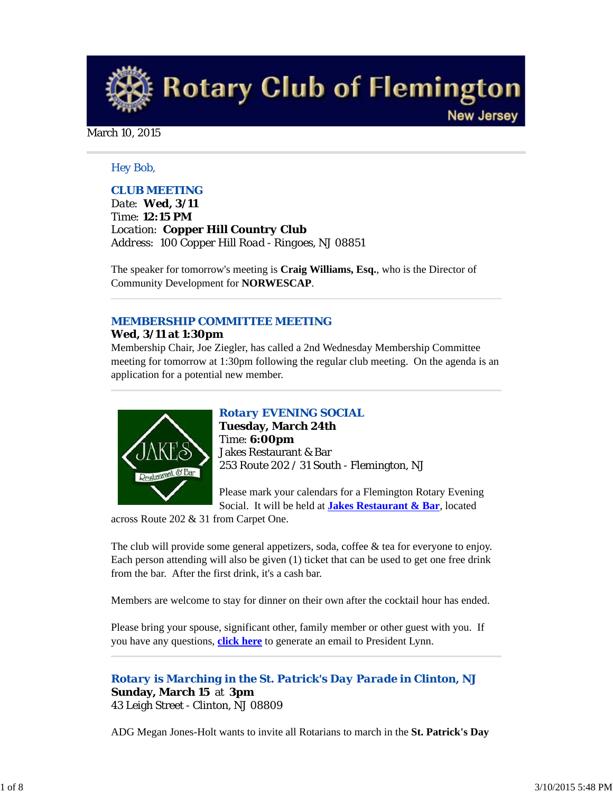**Rotary Club of Flemington New Jersey** 

#### March 10, 2015

# *Hey Bob,*

# *CLUB MEETING*

*Date: Wed, 3/11 Time: 12:15 PM Location: Copper Hill Country Club Address: 100 Copper Hill Road - Ringoes, NJ 08851*

The speaker for tomorrow's meeting is **Craig Williams, Esq.**, who is the Director of Community Development for **NORWESCAP**.

# *MEMBERSHIP COMMITTEE MEETING*

# **Wed, 3/11 at 1:30pm**

Membership Chair, Joe Ziegler, has called a 2nd Wednesday Membership Committee meeting for tomorrow at 1:30pm following the regular club meeting. On the agenda is an application for a potential new member.



# *Rotary EVENING SOCIAL*

**Tuesday, March 24th** Time: **6:00pm** Jakes Restaurant & Bar 253 Route 202 / 31 South - Flemington, NJ

Please mark your calendars for a Flemington Rotary Evening Social. It will be held at **Jakes Restaurant & Bar**, located

across Route 202 & 31 from Carpet One.

The club will provide some general appetizers, soda, coffee & tea for everyone to enjoy. Each person attending will also be given (1) ticket that can be used to get one free drink from the bar. After the first drink, it's a cash bar.

Members are welcome to stay for dinner on their own after the cocktail hour has ended.

Please bring your spouse, significant other, family member or other guest with you. If you have any questions, **click here** to generate an email to President Lynn.

*Rotary is Marching in the St. Patrick's Day Parade in Clinton, NJ* **Sunday, March 15** at **3pm** 43 Leigh Street - Clinton, NJ 08809

ADG Megan Jones-Holt wants to invite all Rotarians to march in the **St. Patrick's Day**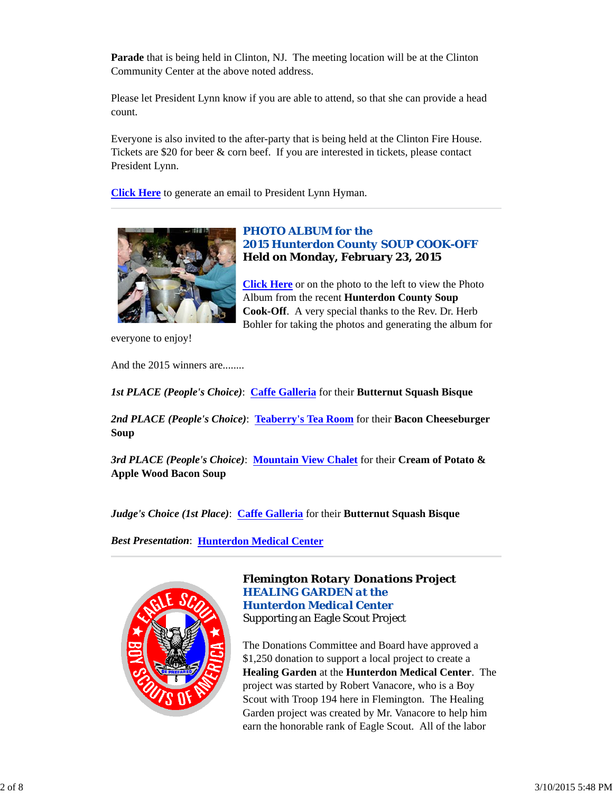**Parade** that is being held in Clinton, NJ. The meeting location will be at the Clinton Community Center at the above noted address.

Please let President Lynn know if you are able to attend, so that she can provide a head count.

Everyone is also invited to the after-party that is being held at the Clinton Fire House. Tickets are \$20 for beer & corn beef. If you are interested in tickets, please contact President Lynn.

**Click Here** to generate an email to President Lynn Hyman.



# *PHOTO ALBUM for the 2015 Hunterdon County SOUP COOK-OFF* **Held on Monday, February 23, 2015**

**Click Here** or on the photo to the left to view the Photo Album from the recent **Hunterdon County Soup Cook-Off**. A very special thanks to the Rev. Dr. Herb Bohler for taking the photos and generating the album for

everyone to enjoy!

And the 2015 winners are........

*1st PLACE (People's Choice)*: **Caffe Galleria** for their **Butternut Squash Bisque**

*2nd PLACE (People's Choice)*: **Teaberry's Tea Room** for their **Bacon Cheeseburger Soup**

*3rd PLACE (People's Choice)*: **Mountain View Chalet** for their **Cream of Potato & Apple Wood Bacon Soup**

*Judge's Choice (1st Place)*: **Caffe Galleria** for their **Butternut Squash Bisque**

*Best Presentation*: **Hunterdon Medical Center**



# *Flemington Rotary Donations Project HEALING GARDEN at the Hunterdon Medical Center* Supporting an Eagle Scout Project

The Donations Committee and Board have approved a \$1,250 donation to support a local project to create a **Healing Garden** at the **Hunterdon Medical Center**. The project was started by Robert Vanacore, who is a Boy Scout with Troop 194 here in Flemington. The Healing Garden project was created by Mr. Vanacore to help him earn the honorable rank of Eagle Scout. All of the labor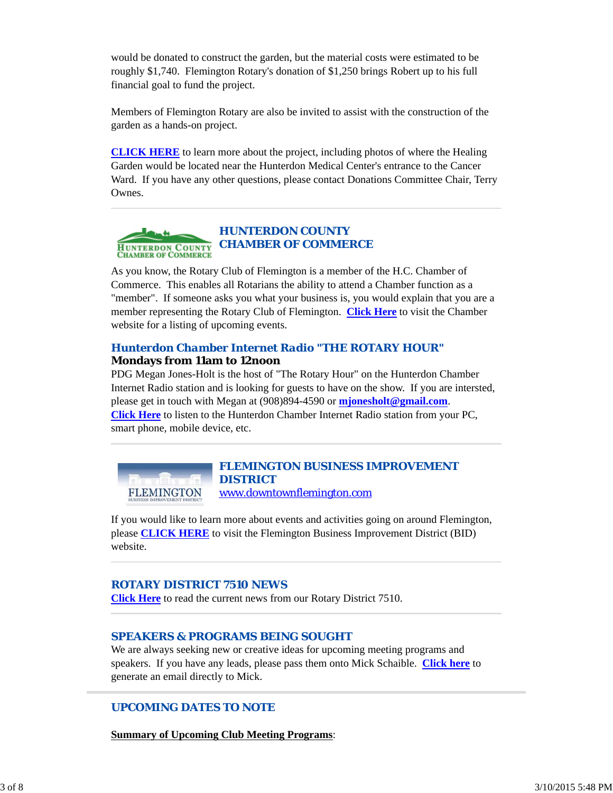would be donated to construct the garden, but the material costs were estimated to be roughly \$1,740. Flemington Rotary's donation of \$1,250 brings Robert up to his full financial goal to fund the project.

Members of Flemington Rotary are also be invited to assist with the construction of the garden as a hands-on project.

**CLICK HERE** to learn more about the project, including photos of where the Healing Garden would be located near the Hunterdon Medical Center's entrance to the Cancer Ward. If you have any other questions, please contact Donations Committee Chair, Terry Ownes.



As you know, the Rotary Club of Flemington is a member of the H.C. Chamber of Commerce. This enables all Rotarians the ability to attend a Chamber function as a "member". If someone asks you what your business is, you would explain that you are a member representing the Rotary Club of Flemington. **Click Here** to visit the Chamber website for a listing of upcoming events.

#### *Hunterdon Chamber Internet Radio "THE ROTARY HOUR"* **Mondays from 11am to 12noon**

PDG Megan Jones-Holt is the host of "The Rotary Hour" on the Hunterdon Chamber Internet Radio station and is looking for guests to have on the show. If you are intersted, please get in touch with Megan at (908)894-4590 or **mjonesholt@gmail.com**. **Click Here** to listen to the Hunterdon Chamber Internet Radio station from your PC, smart phone, mobile device, etc.

*FLEMINGTON BUSINESS IMPROVEMENT DISTRICT* **FLEMINGTON** www.downtownflemington.com

If you would like to learn more about events and activities going on around Flemington, please **CLICK HERE** to visit the Flemington Business Improvement District (BID) website.

#### *ROTARY DISTRICT 7510 NEWS*

**Click Here** to read the current news from our Rotary District 7510.

#### *SPEAKERS & PROGRAMS BEING SOUGHT*

We are always seeking new or creative ideas for upcoming meeting programs and speakers. If you have any leads, please pass them onto Mick Schaible. **Click here** to generate an email directly to Mick.

## *UPCOMING DATES TO NOTE*

**Summary of Upcoming Club Meeting Programs**: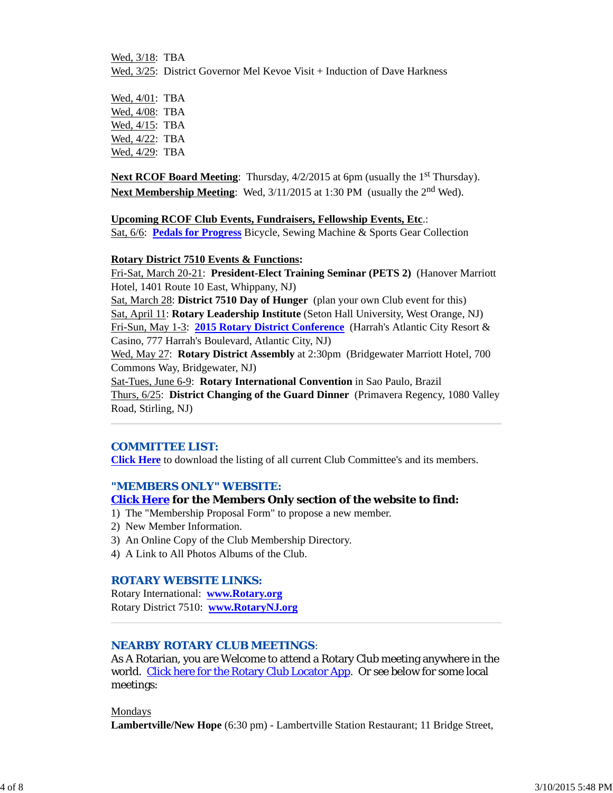Wed, 3/18: TBA Wed,  $3/25$ : District Governor Mel Kevoe Visit + Induction of Dave Harkness

Wed, 4/01: TBA Wed, 4/08: TBA Wed, 4/15: TBA Wed, 4/22: TBA Wed, 4/29: TBA

**Next RCOF Board Meeting:** Thursday,  $4/2/2015$  at 6pm (usually the 1<sup>st</sup> Thursday). **Next Membership Meeting:** Wed,  $3/11/2015$  at 1:30 PM (usually the 2<sup>nd</sup> Wed).

**Upcoming RCOF Club Events, Fundraisers, Fellowship Events, Etc**.:

Sat, 6/6: **Pedals for Progress** Bicycle, Sewing Machine & Sports Gear Collection

## **Rotary District 7510 Events & Functions:**

Fri-Sat, March 20-21: **President-Elect Training Seminar (PETS 2)** (Hanover Marriott Hotel, 1401 Route 10 East, Whippany, NJ)

Sat, March 28: **District 7510 Day of Hunger** (plan your own Club event for this) Sat, April 11: **Rotary Leadership Institute** (Seton Hall University, West Orange, NJ) Fri-Sun, May 1-3: **2015 Rotary District Conference** (Harrah's Atlantic City Resort & Casino, 777 Harrah's Boulevard, Atlantic City, NJ)

Wed, May 27: **Rotary District Assembly** at 2:30pm (Bridgewater Marriott Hotel, 700 Commons Way, Bridgewater, NJ)

Sat-Tues, June 6-9: **Rotary International Convention** in Sao Paulo, Brazil Thurs, 6/25: **District Changing of the Guard Dinner** (Primavera Regency, 1080 Valley Road, Stirling, NJ)

## *COMMITTEE LIST:*

**Click Here** to download the listing of all current Club Committee's and its members.

## *"MEMBERS ONLY" WEBSITE:*

## **Click Here for the Members Only section of the website to find:**

- 1) The "Membership Proposal Form" to propose a new member.
- 2) New Member Information.
- 3) An Online Copy of the Club Membership Directory.
- 4) A Link to All Photos Albums of the Club.

## *ROTARY WEBSITE LINKS:*

Rotary International: **www.Rotary.org** Rotary District 7510: **www.RotaryNJ.org**

## *NEARBY ROTARY CLUB MEETINGS:*

As A Rotarian, you are Welcome to attend a Rotary Club meeting anywhere in the world. Click here for the Rotary Club Locator App. Or see below for some local meetings:

Mondays

**Lambertville/New Hope** (6:30 pm) - Lambertville Station Restaurant; 11 Bridge Street,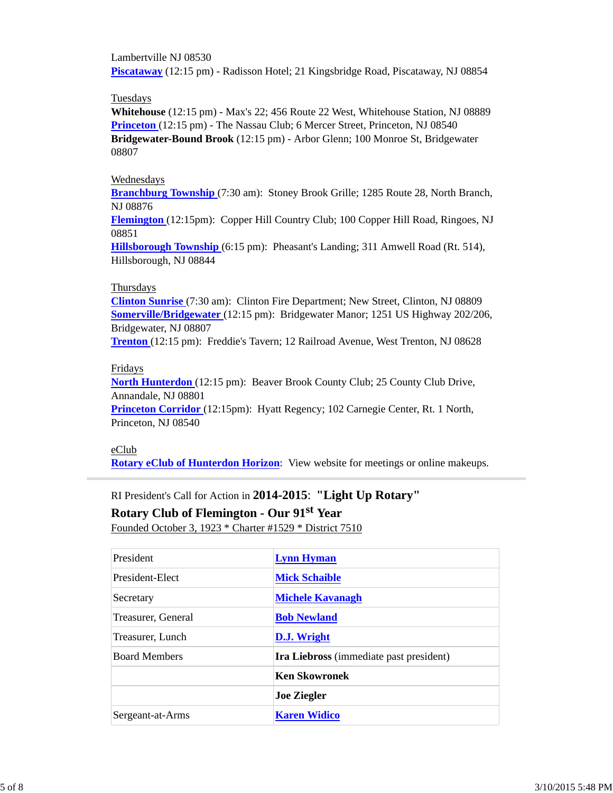Lambertville NJ 08530 **Piscataway** (12:15 pm) - Radisson Hotel; 21 Kingsbridge Road, Piscataway, NJ 08854

#### Tuesdays

**Whitehouse** (12:15 pm) - Max's 22; 456 Route 22 West, Whitehouse Station, NJ 08889 **Princeton** (12:15 pm) - The Nassau Club; 6 Mercer Street, Princeton, NJ 08540 **Bridgewater-Bound Brook** (12:15 pm) - Arbor Glenn; 100 Monroe St, Bridgewater 08807

#### Wednesdays

**Branchburg Township** (7:30 am): Stoney Brook Grille; 1285 Route 28, North Branch, NJ 08876

**Flemington** (12:15pm): Copper Hill Country Club; 100 Copper Hill Road, Ringoes, NJ 08851

**Hillsborough Township** (6:15 pm): Pheasant's Landing; 311 Amwell Road (Rt. 514), Hillsborough, NJ 08844

#### Thursdays

**Clinton Sunrise** (7:30 am): Clinton Fire Department; New Street, Clinton, NJ 08809 **Somerville/Bridgewater** (12:15 pm): Bridgewater Manor; 1251 US Highway 202/206, Bridgewater, NJ 08807

**Trenton** (12:15 pm): Freddie's Tavern; 12 Railroad Avenue, West Trenton, NJ 08628

# Fridays

**North Hunterdon** (12:15 pm): Beaver Brook County Club; 25 County Club Drive, Annandale, NJ 08801

**Princeton Corridor** (12:15pm): Hyatt Regency; 102 Carnegie Center, Rt. 1 North, Princeton, NJ 08540

## eClub

**Rotary eClub of Hunterdon Horizon**: View website for meetings or online makeups.

# RI President's Call for Action in **2014-2015**: **"Light Up Rotary"**

**Rotary Club of Flemington - Our 91st Year**

Founded October 3, 1923 \* Charter #1529 \* District 7510

| President            | <b>Lynn Hyman</b>                       |  |
|----------------------|-----------------------------------------|--|
| President-Elect      | <b>Mick Schaible</b>                    |  |
| Secretary            | <b>Michele Kavanagh</b>                 |  |
| Treasurer, General   | <b>Bob Newland</b>                      |  |
| Treasurer, Lunch     | D.J. Wright                             |  |
| <b>Board Members</b> | Ira Liebross (immediate past president) |  |
|                      | <b>Ken Skowronek</b>                    |  |
|                      | <b>Joe Ziegler</b>                      |  |
| Sergeant-at-Arms     | <b>Karen Widico</b>                     |  |
|                      |                                         |  |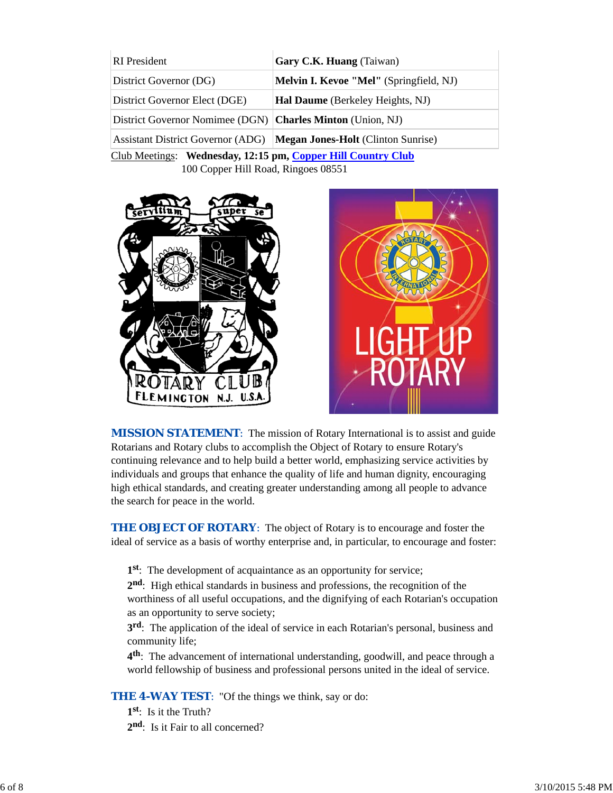| <b>RI</b> President                                          | Gary C.K. Huang (Taiwan)                       |  |  |  |
|--------------------------------------------------------------|------------------------------------------------|--|--|--|
| District Governor (DG)                                       | <b>Melvin I. Kevoe "Mel"</b> (Springfield, NJ) |  |  |  |
| District Governor Elect (DGE)                                | <b>Hal Daume</b> (Berkeley Heights, NJ)        |  |  |  |
| District Governor Nomimee (DGN) Charles Minton (Union, NJ)   |                                                |  |  |  |
| <b>Assistant District Governor (ADG)</b>                     | <b>Megan Jones-Holt</b> (Clinton Sunrise)      |  |  |  |
| Club Meetings: Wednesday, 12:15 pm, Copper Hill Country Club |                                                |  |  |  |

100 Copper Hill Road, Ringoes 08551





**MISSION STATEMENT:** The mission of Rotary International is to assist and guide Rotarians and Rotary clubs to accomplish the Object of Rotary to ensure Rotary's continuing relevance and to help build a better world, emphasizing service activities by individuals and groups that enhance the quality of life and human dignity, encouraging high ethical standards, and creating greater understanding among all people to advance the search for peace in the world.

**THE OBJECT OF ROTARY:** The object of Rotary is to encourage and foster the ideal of service as a basis of worthy enterprise and, in particular, to encourage and foster:

**1st**: The development of acquaintance as an opportunity for service;

**2nd**: High ethical standards in business and professions, the recognition of the worthiness of all useful occupations, and the dignifying of each Rotarian's occupation as an opportunity to serve society;

**3rd**: The application of the ideal of service in each Rotarian's personal, business and community life;

**4th**: The advancement of international understanding, goodwill, and peace through a world fellowship of business and professional persons united in the ideal of service.

**THE 4-WAY TEST:** "Of the things we think, say or do:

**1st**: Is it the Truth?

2<sup>nd</sup>: Is it Fair to all concerned?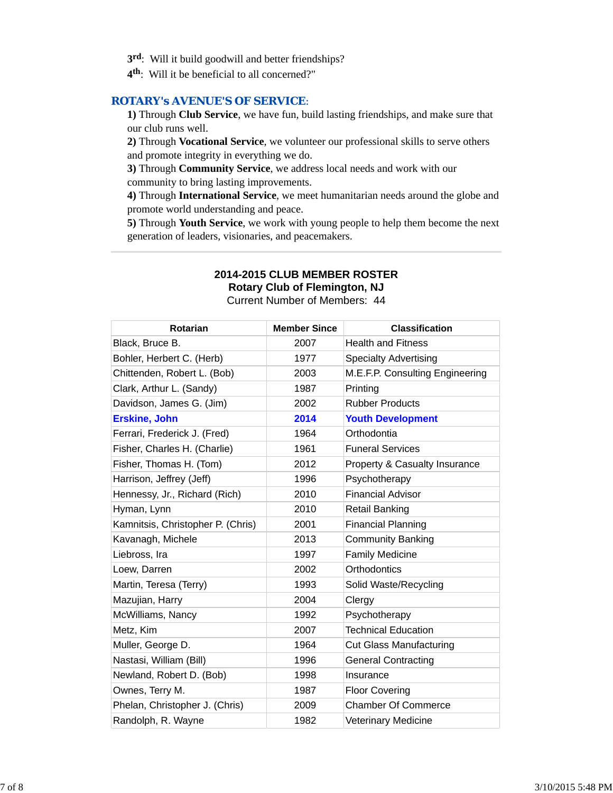- **3rd**: Will it build goodwill and better friendships?
- **4th**: Will it be beneficial to all concerned?"

#### *ROTARY's AVENUE'S OF SERVICE*:

**1)** Through **Club Service**, we have fun, build lasting friendships, and make sure that our club runs well.

**2)** Through **Vocational Service**, we volunteer our professional skills to serve others and promote integrity in everything we do.

**3)** Through **Community Service**, we address local needs and work with our community to bring lasting improvements.

**4)** Through **International Service**, we meet humanitarian needs around the globe and promote world understanding and peace.

**5)** Through **Youth Service**, we work with young people to help them become the next generation of leaders, visionaries, and peacemakers.

# **2014-2015 CLUB MEMBER ROSTER**

**Rotary Club of Flemington, NJ**

Current Number of Members: 44

| <b>Rotarian</b>                   | <b>Member Since</b> | <b>Classification</b>           |
|-----------------------------------|---------------------|---------------------------------|
| Black, Bruce B.                   | 2007                | <b>Health and Fitness</b>       |
| Bohler, Herbert C. (Herb)         | 1977                | <b>Specialty Advertising</b>    |
| Chittenden, Robert L. (Bob)       | 2003                | M.E.F.P. Consulting Engineering |
| Clark, Arthur L. (Sandy)          | 1987                | Printing                        |
| Davidson, James G. (Jim)          | 2002                | <b>Rubber Products</b>          |
| <b>Erskine, John</b>              | 2014                | <b>Youth Development</b>        |
| Ferrari, Frederick J. (Fred)      | 1964                | Orthodontia                     |
| Fisher, Charles H. (Charlie)      | 1961                | <b>Funeral Services</b>         |
| Fisher, Thomas H. (Tom)           | 2012                | Property & Casualty Insurance   |
| Harrison, Jeffrey (Jeff)          | 1996                | Psychotherapy                   |
| Hennessy, Jr., Richard (Rich)     | 2010                | <b>Financial Advisor</b>        |
| Hyman, Lynn                       | 2010                | Retail Banking                  |
| Kamnitsis, Christopher P. (Chris) | 2001                | <b>Financial Planning</b>       |
| Kavanagh, Michele                 | 2013                | <b>Community Banking</b>        |
| Liebross, Ira                     | 1997                | <b>Family Medicine</b>          |
| Loew, Darren                      | 2002                | Orthodontics                    |
| Martin, Teresa (Terry)            | 1993                | Solid Waste/Recycling           |
| Mazujian, Harry                   | 2004                | Clergy                          |
| McWilliams, Nancy                 | 1992                | Psychotherapy                   |
| Metz, Kim                         | 2007                | <b>Technical Education</b>      |
| Muller, George D.                 | 1964                | <b>Cut Glass Manufacturing</b>  |
| Nastasi, William (Bill)           | 1996                | <b>General Contracting</b>      |
| Newland, Robert D. (Bob)          | 1998                | Insurance                       |
| Ownes, Terry M.                   | 1987                | <b>Floor Covering</b>           |
| Phelan, Christopher J. (Chris)    | 2009                | <b>Chamber Of Commerce</b>      |
| Randolph, R. Wayne                | 1982                | <b>Veterinary Medicine</b>      |